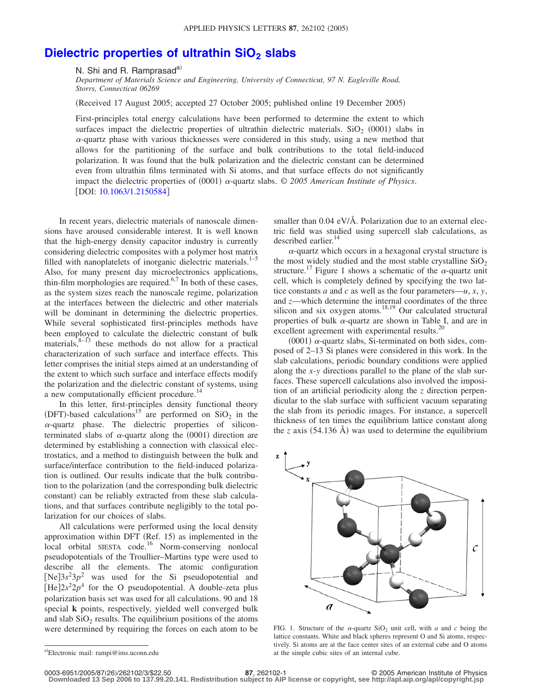## **Dielectric properties of ultrathin SiO<sub>2</sub> slabs**

N. Shi and R. Ramprasad<sup>a)</sup>

*Department of Materials Science and Engineering, University of Connecticut, 97 N. Eagleville Road, Storrs, Connecticut 06269*

(Received 17 August 2005; accepted 27 October 2005; published online 19 December 2005)

First-principles total energy calculations have been performed to determine the extent to which surfaces impact the dielectric properties of ultrathin dielectric materials.  $SiO_2$  (0001) slabs in  $\alpha$ -quartz phase with various thicknesses were considered in this study, using a new method that allows for the partitioning of the surface and bulk contributions to the total field-induced polarization. It was found that the bulk polarization and the dielectric constant can be determined even from ultrathin films terminated with Si atoms, and that surface effects do not significantly impact the dielectric properties of (0001)  $\alpha$ -quartz slabs. © 2005 American Institute of Physics. [DOI: [10.1063/1.2150584](http://dx.doi.org/10.1063/1.2150584)]

In recent years, dielectric materials of nanoscale dimensions have aroused considerable interest. It is well known that the high-energy density capacitor industry is currently considering dielectric composites with a polymer host matrix filled with nanoplatelets of inorganic dielectric materials.<sup>1–5</sup> Also, for many present day microelectronics applications, thin-film morphologies are required. $6,7$  In both of these cases, as the system sizes reach the nanoscale regime, polarization at the interfaces between the dielectric and other materials will be dominant in determining the dielectric properties. While several sophisticated first-principles methods have been employed to calculate the dielectric constant of bulk materials, $8-13$  these methods do not allow for a practical characterization of such surface and interface effects. This letter comprises the initial steps aimed at an understanding of the extent to which such surface and interface effects modify the polarization and the dielectric constant of systems, using a new computationally efficient procedure.<sup>14</sup>

In this letter, first-principles density functional theory (DFT)-based calculations<sup>15</sup> are performed on  $SiO<sub>2</sub>$  in the  $\alpha$ -quartz phase. The dielectric properties of siliconterminated slabs of  $\alpha$ -quartz along the (0001) direction are determined by establishing a connection with classical electrostatics, and a method to distinguish between the bulk and surface/interface contribution to the field-induced polarization is outlined. Our results indicate that the bulk contribution to the polarization (and the corresponding bulk dielectric constant) can be reliably extracted from these slab calculations, and that surfaces contribute negligibly to the total polarization for our choices of slabs.

All calculations were performed using the local density approximation within DFT (Ref. 15) as implemented in the local orbital SIESTA code.<sup>16</sup> Norm-conserving nonlocal pseudopotentials of the Troullier–Martins type were used to describe all the elements. The atomic configuration  $[Ne]3s<sup>2</sup>3p<sup>2</sup>$  was used for the Si pseudopotential and  $[He]2s^22p^4$  for the O pseudopotential. A double-zeta plus polarization basis set was used for all calculations. 90 and 18 special **k** points, respectively, yielded well converged bulk and slab  $SiO<sub>2</sub>$  results. The equilibrium positions of the atoms were determined by requiring the forces on each atom to be

 $\alpha$ -quartz which occurs in a hexagonal crystal structure is the most widely studied and the most stable crystalline  $SiO<sub>2</sub>$ structure.<sup>17</sup> Figure 1 shows a schematic of the  $\alpha$ -quartz unit cell, which is completely defined by specifying the two lattice constants *a* and *c* as well as the four parameters—*u*, *x*, *y*, and *z*—which determine the internal coordinates of the three silicon and six oxygen atoms.<sup>18,19</sup> Our calculated structural properties of bulk  $\alpha$ -quartz are shown in Table I, and are in excellent agreement with experimental results.<sup>20</sup>

(0001)  $\alpha$ -quartz slabs, Si-terminated on both sides, composed of 2–13 Si planes were considered in this work. In the slab calculations, periodic boundary conditions were applied along the *x*-*y* directions parallel to the plane of the slab surfaces. These supercell calculations also involved the imposition of an artificial periodicity along the *z* direction perpendicular to the slab surface with sufficient vacuum separating the slab from its periodic images. For instance, a supercell thickness of ten times the equilibrium lattice constant along the *z* axis  $(54.136 \text{ Å})$  was used to determine the equilibrium



FIG. 1. Structure of the  $\alpha$ -quartz SiO<sub>2</sub> unit cell, with  $\alpha$  and  $\alpha$  being the lattice constants. White and black spheres represent O and Si atoms, respectively. Si atoms are at the face center sites of an external cube and O atoms at the simple cubic sites of an internal cube.

0003-6951/2005/87(26)/262102/3/\$22.50

**Downloaded 13 Sep 2006 to 137.99.20.141. Redistribution subject to AIP license or copyright, see http://apl.aip.org/apl/copyright.jsp**

smaller than 0.04 eV/Å. Polarization due to an external electric field was studied using supercell slab calculations, as described earlier.<sup>14</sup>

a)Electronic mail: rampi@ims.uconn.edu

**<sup>87</sup>**, 262102-1 © 2005 American Institute of Physics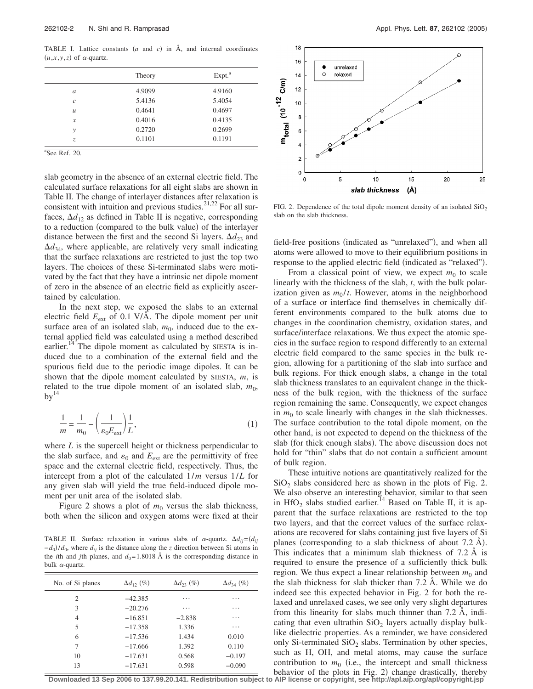TABLE I. Lattice constants  $(a \text{ and } c)$  in  $\AA$ , and internal coordinates  $(u, x, y, z)$  of  $\alpha$ -quartz.

|               | Theory | Expt. <sup>a</sup> |
|---------------|--------|--------------------|
| $\mathfrak a$ | 4.9099 | 4.9160             |
| $\mathcal{C}$ | 5.4136 | 5.4054             |
| $\mathcal{U}$ | 0.4641 | 0.4697             |
| $\mathcal{X}$ | 0.4016 | 0.4135             |
| y             | 0.2720 | 0.2699             |
| Z.            | 0.1101 | 0.1191             |

 $a$ See Ref. 20.

slab geometry in the absence of an external electric field. The calculated surface relaxations for all eight slabs are shown in Table II. The change of interlayer distances after relaxation is consistent with intuition and previous studies. $2^{1,22}$  For all surfaces,  $\Delta d_{12}$  as defined in Table II is negative, corresponding to a reduction (compared to the bulk value) of the interlayer distance between the first and the second Si layers.  $\Delta d_{23}$  and  $\Delta d_{34}$ , where applicable, are relatively very small indicating that the surface relaxations are restricted to just the top two layers. The choices of these Si-terminated slabs were motivated by the fact that they have a intrinsic net dipole moment of zero in the absence of an electric field as explicitly ascertained by calculation.

In the next step, we exposed the slabs to an external electric field *E*ext of 0.1 V/Å. The dipole moment per unit surface area of an isolated slab,  $m_0$ , induced due to the external applied field was calculated using a method described earlier.<sup>14</sup> The dipole moment as calculated by SIESTA is induced due to a combination of the external field and the spurious field due to the periodic image dipoles. It can be shown that the dipole moment calculated by SIESTA, *m*, is related to the true dipole moment of an isolated slab,  $m_0$ ,  $by<sup>14</sup>$ 

$$
\frac{1}{m} = \frac{1}{m_0} - \left(\frac{1}{\varepsilon_0 E_{\text{ext}}}\right) \frac{1}{L},\tag{1}
$$

where *L* is the supercell height or thickness perpendicular to the slab surface, and  $\varepsilon_0$  and  $E_{ext}$  are the permittivity of free space and the external electric field, respectively. Thus, the intercept from a plot of the calculated 1/*m* versus 1/*L* for any given slab will yield the true field-induced dipole moment per unit area of the isolated slab.

Figure 2 shows a plot of  $m_0$  versus the slab thickness, both when the silicon and oxygen atoms were fixed at their

TABLE II. Surface relaxation in various slabs of  $\alpha$ -quartz.  $\Delta d_{ij} = (d_{ij})$  $-d_0$ / $d_0$ , where  $d_{ij}$  is the distance along the *z* direction between Si atoms in the *i*th and *j*th planes, and  $d_0 = 1.8018$  Å is the corresponding distance in bulk  $\alpha$ -quartz.

| No. of Si planes            | $\Delta d_{12}$ (%) | $\Delta d_{23}$ (%) | $\Delta d_{34}$ (%) |
|-----------------------------|---------------------|---------------------|---------------------|
| $\mathcal{D}_{\mathcal{L}}$ | $-42.385$           | .                   | .                   |
| 3                           | $-20.276$           | .                   | .                   |
| 4                           | $-16.851$           | $-2.838$            | .                   |
| 5                           | $-17.358$           | 1.336               | .                   |
| 6                           | $-17.536$           | 1.434               | 0.010               |
| 7                           | $-17.666$           | 1.392               | 0.110               |
| 10                          | $-17.631$           | 0.568               | $-0.197$            |
| 13                          | $-17.631$           | 0.598               | $-0.090$            |
|                             |                     |                     |                     |



FIG. 2. Dependence of the total dipole moment density of an isolated  $SiO<sub>2</sub>$ slab on the slab thickness.

field-free positions (indicated as "unrelaxed"), and when all atoms were allowed to move to their equilibrium positions in response to the applied electric field (indicated as "relaxed").

From a classical point of view, we expect  $m_0$  to scale linearly with the thickness of the slab, *t*, with the bulk polarization given as  $m_0/t$ . However, atoms in the neighborhood of a surface or interface find themselves in chemically different environments compared to the bulk atoms due to changes in the coordination chemistry, oxidation states, and surface/interface relaxations. We thus expect the atomic species in the surface region to respond differently to an external electric field compared to the same species in the bulk region, allowing for a partitioning of the slab into surface and bulk regions. For thick enough slabs, a change in the total slab thickness translates to an equivalent change in the thickness of the bulk region, with the thickness of the surface region remaining the same. Consequently, we expect changes in  $m_0$  to scale linearly with changes in the slab thicknesses. The surface contribution to the total dipole moment, on the other hand, is not expected to depend on the thickness of the slab (for thick enough slabs). The above discussion does not hold for "thin" slabs that do not contain a sufficient amount of bulk region.

These intuitive notions are quantitatively realized for the  $SiO<sub>2</sub>$  slabs considered here as shown in the plots of Fig. 2. We also observe an interesting behavior, similar to that seen in HfO<sub>2</sub> slabs studied earlier.<sup>14</sup> Based on Table II, it is apparent that the surface relaxations are restricted to the top two layers, and that the correct values of the surface relaxations are recovered for slabs containing just five layers of Si planes (corresponding to a slab thickness of about 7.2 Å). This indicates that a minimum slab thickness of 7.2 Å is required to ensure the presence of a sufficiently thick bulk region. We thus expect a linear relationship between  $m_0$  and the slab thickness for slab thicker than 7.2 Å. While we do indeed see this expected behavior in Fig. 2 for both the relaxed and unrelaxed cases, we see only very slight departures from this linearity for slabs much thinner than 7.2 Å, indicating that even ultrathin  $SiO<sub>2</sub>$  layers actually display bulklike dielectric properties. As a reminder, we have considered only Si-terminated  $SiO<sub>2</sub>$  slabs. Termination by other species, such as H, OH, and metal atoms, may cause the surface contribution to  $m_0$  (i.e., the intercept and small thickness behavior of the plots in Fig. 2) change drastically, thereby

**Downloaded 13 Sep 2006 to 137.99.20.141. Redistribution subject to AIP license or copyright, see http://apl.aip.org/apl/copyright.jsp**